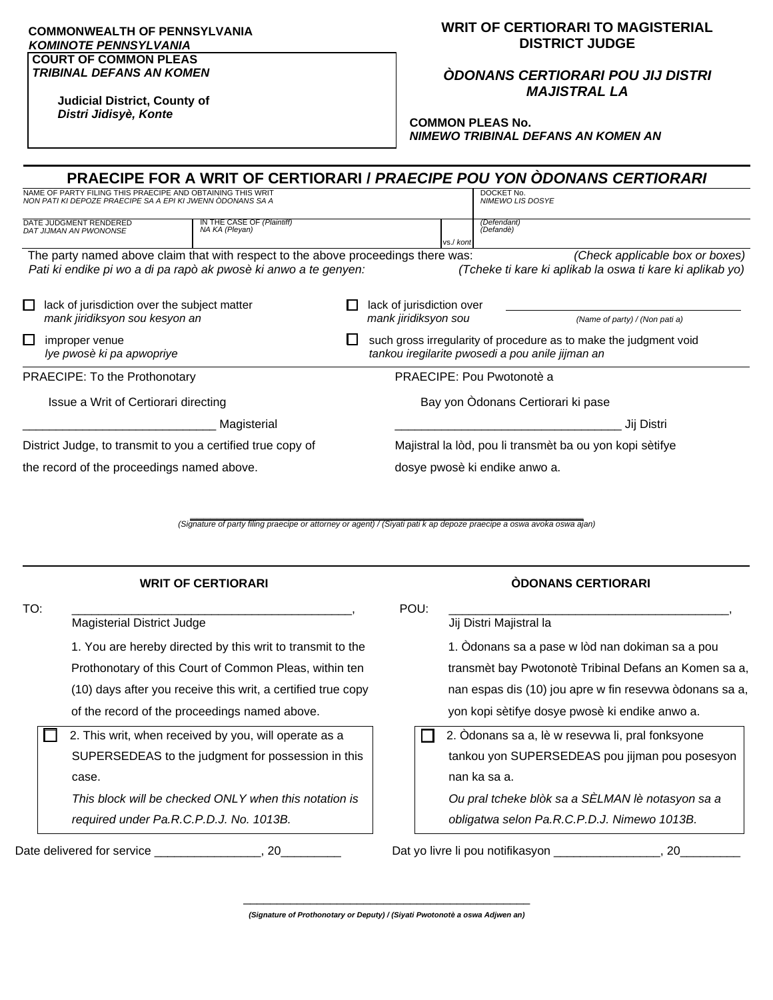## **COMMONWEALTH OF PENNSYLVANIA**  *KOMINOTE PENNSYLVANIA* **COURT OF COMMON PLEAS**

*TRIBINAL DEFANS AN KOMEN*

**WRIT OF CERTIORARI TO MAGISTERIAL DISTRICT JUDGE**

*ÒDONANS CERTIORARI POU JIJ DISTRI MAJISTRAL LA*

**Judicial District, County of** *Distri Jidisyè, Konte*

**COMMON PLEAS No.** *NIMEWO TRIBINAL DEFANS AN KOMEN AN*

|                                                                                                  |                                                                                                                                                      |             |  |                                                                                                                       | <b>PRAECIPE FOR A WRIT OF CERTIORARI / PRAECIPE POU YON ODONANS CERTIORARI</b>               |  |  |
|--------------------------------------------------------------------------------------------------|------------------------------------------------------------------------------------------------------------------------------------------------------|-------------|--|-----------------------------------------------------------------------------------------------------------------------|----------------------------------------------------------------------------------------------|--|--|
|                                                                                                  | NAME OF PARTY FILING THIS PRAECIPE AND OBTAINING THIS WRIT<br>NON PATI KI DEPOZE PRAECIPE SA A EPI KI JWENN ÒDONANS SA A                             |             |  |                                                                                                                       | DOCKET No.<br><b>NIMEWO LIS DOSYE</b>                                                        |  |  |
| IN THE CASE OF (Plaintiff)<br>DATE JUDGMENT RENDERED<br>NA KA (Pleyan)<br>DAT JIJMAN AN PWONONSE |                                                                                                                                                      |             |  | vs./ koni                                                                                                             | (Defendant)<br>(Defandè)                                                                     |  |  |
|                                                                                                  | The party named above claim that with respect to the above proceedings there was:<br>Pati ki endike pi wo a di pa rapò ak pwosè ki anwo a te genyen: |             |  |                                                                                                                       | (Check applicable box or boxes)<br>(Tcheke ti kare ki aplikab la oswa ti kare ki aplikab yo) |  |  |
| $\Box$                                                                                           | lack of jurisdiction over the subject matter<br>mank jiridiksyon sou kesyon an                                                                       |             |  | lack of jurisdiction over<br>mank jiridiksyon sou                                                                     | (Name of party) / (Non pati a)                                                               |  |  |
| $\Box$                                                                                           | improper venue<br>Iye pwosè ki pa apwopriye                                                                                                          |             |  | such gross irregularity of procedure as to make the judgment void<br>tankou iregilarite pwosedi a pou anile jijman an |                                                                                              |  |  |
| <b>PRAECIPE: To the Prothonotary</b>                                                             |                                                                                                                                                      |             |  | PRAECIPE: Pou Pwotonotè a                                                                                             |                                                                                              |  |  |
| Issue a Writ of Certiorari directing                                                             |                                                                                                                                                      |             |  | Bay yon Odonans Certiorari ki pase                                                                                    |                                                                                              |  |  |
|                                                                                                  |                                                                                                                                                      | Magisterial |  |                                                                                                                       | Jij Distri                                                                                   |  |  |
| District Judge, to transmit to you a certified true copy of                                      |                                                                                                                                                      |             |  |                                                                                                                       | Majistral la lòd, pou li transmèt ba ou yon kopi sètifye                                     |  |  |
| the record of the proceedings named above.                                                       |                                                                                                                                                      |             |  |                                                                                                                       | dosye pwosè ki endike anwo a.                                                                |  |  |

**\_\_\_\_\_\_\_\_\_\_\_\_\_\_\_\_\_\_\_\_\_\_\_\_\_\_\_\_\_\_\_\_\_\_\_\_\_\_\_\_\_\_\_\_\_\_\_\_\_\_\_\_\_\_\_\_\_\_\_** *(Signature of party filing praecipe or attorney or agent) / (Siyati pati k ap depoze praecipe a oswa avoka oswa ajan)*

|     | <b>WRIT OF CERTIORARI</b>                                                                                       |      | <b>ODONANS CERTIORARI</b>                                     |
|-----|-----------------------------------------------------------------------------------------------------------------|------|---------------------------------------------------------------|
| TO: | Magisterial District Judge                                                                                      | POU: | Jij Distri Majistral la                                       |
|     | 1. You are hereby directed by this writ to transmit to the                                                      |      | 1. Odonans sa a pase w lòd nan dokiman sa a pou               |
|     | Prothonotary of this Court of Common Pleas, within ten                                                          |      | transmèt bay Pwotonotè Tribinal Defans an Komen sa a,         |
|     | (10) days after you receive this writ, a certified true copy                                                    |      | nan espas dis (10) jou apre w fin resevwa òdonans sa a,       |
|     | of the record of the proceedings named above.                                                                   |      | yon kopi sètifye dosye pwosè ki endike anwo a.                |
|     | 2. This writ, when received by you, will operate as a                                                           |      | 2. Odonans sa a, lè w resevwa li, pral fonksyone              |
|     | SUPERSEDEAS to the judgment for possession in this                                                              |      | tankou yon SUPERSEDEAS pou jijman pou posesyon                |
|     | case.                                                                                                           |      | nan ka sa a.                                                  |
|     | This block will be checked ONLY when this notation is                                                           |      | Ou pral tcheke blòk sa a SÈLMAN lè notasyon sa a              |
|     | required under Pa.R.C.P.D.J. No. 1013B.                                                                         |      | obligatwa selon Pa.R.C.P.D.J. Nimewo 1013B.                   |
|     | Date delivered for service that the service that is not all the service that is not see that the service of the |      | Dat yo livre li pou notifikasyon ___________________,<br>. 20 |

\_\_\_\_\_\_\_\_\_\_\_\_\_\_\_\_\_\_\_\_\_\_\_\_\_\_\_\_\_\_\_\_\_\_\_\_\_\_\_\_\_\_\_ *(Signature of Prothonotary or Deputy) / (Siyati Pwotonotè a oswa Adjwen an)*